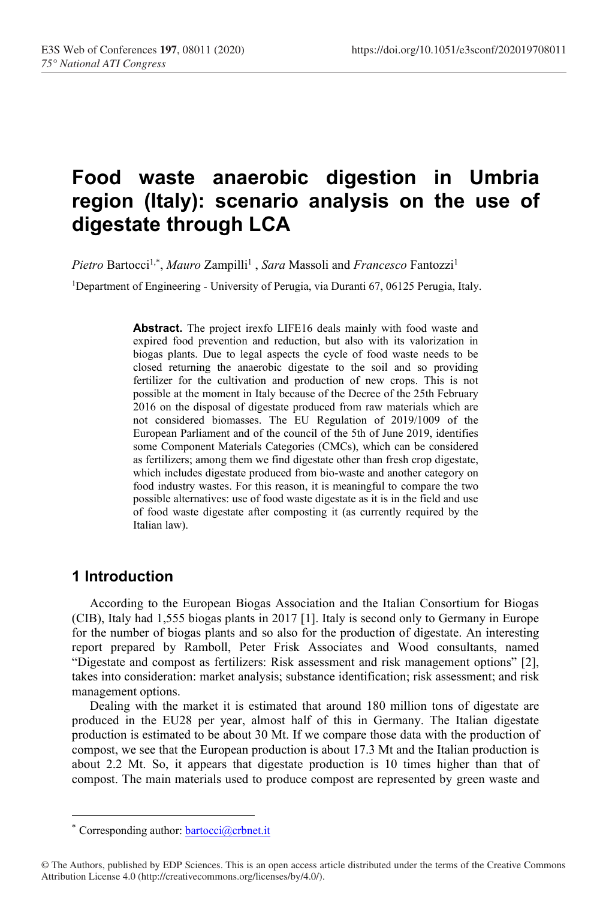# **Food waste anaerobic digestion in Umbria region (Italy): scenario analysis on the use of digestate through LCA**

Pietro Bartocci<sup>1,\*</sup>, *Mauro Zampilli<sup>1</sup>*, *Sara* Massoli and *Francesco* Fantozzi<sup>1</sup>

<sup>1</sup>Department of Engineering - University of Perugia, via Duranti 67, 06125 Perugia, Italy.

**Abstract.** The project irexfo LIFE16 deals mainly with food waste and expired food prevention and reduction, but also with its valorization in biogas plants. Due to legal aspects the cycle of food waste needs to be closed returning the anaerobic digestate to the soil and so providing fertilizer for the cultivation and production of new crops. This is not possible at the moment in Italy because of the Decree of the 25th February 2016 on the disposal of digestate produced from raw materials which are not considered biomasses. The EU Regulation of 2019/1009 of the European Parliament and of the council of the 5th of June 2019, identifies some Component Materials Categories (CMCs), which can be considered as fertilizers; among them we find digestate other than fresh crop digestate, which includes digestate produced from bio-waste and another category on food industry wastes. For this reason, it is meaningful to compare the two possible alternatives: use of food waste digestate as it is in the field and use of food waste digestate after composting it (as currently required by the Italian law).

### **1 Introduction**

According to the European Biogas Association and the Italian Consortium for Biogas (CIB), Italy had 1,555 biogas plants in 2017 [1]. Italy is second only to Germany in Europe for the number of biogas plants and so also for the production of digestate. An interesting report prepared by Ramboll, Peter Frisk Associates and Wood consultants, named "Digestate and compost as fertilizers: Risk assessment and risk management options" [2], takes into consideration: market analysis; substance identification; risk assessment; and risk management options.

Dealing with the market it is estimated that around 180 million tons of digestate are produced in the EU28 per year, almost half of this in Germany. The Italian digestate production is estimated to be about 30 Mt. If we compare those data with the production of compost, we see that the European production is about 17.3 Mt and the Italian production is about 2.2 Mt. So, it appears that digestate production is 10 times higher than that of compost. The main materials used to produce compost are represented by green waste and

<sup>\*</sup> Corresponding author: [bartocci@crbnet.it](mailto:bartocci@crbnet.it)

<sup>©</sup> The Authors, published by EDP Sciences. This is an open access article distributed under the terms of the Creative Commons Attribution License 4.0 (http://creativecommons.org/licenses/by/4.0/).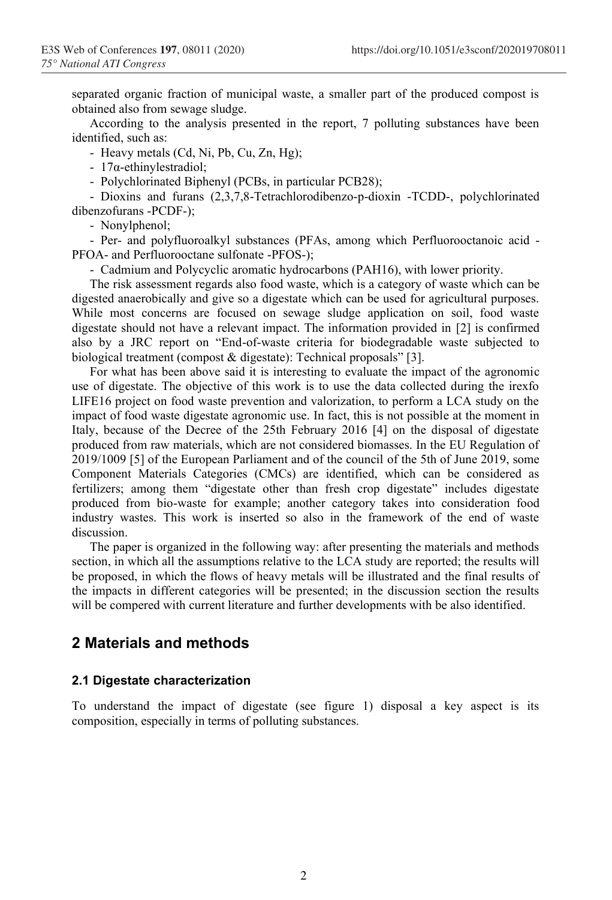separated organic fraction of municipal waste, a smaller part of the produced compost is obtained also from sewage sludge.

According to the analysis presented in the report, 7 polluting substances have been identified, such as:

- Heavy metals (Cd, Ni, Pb, Cu, Zn, Hg);

- 17α-ethinylestradiol;

- Polychlorinated Biphenyl (PCBs, in particular PCB28);

- Dioxins and furans (2,3,7,8-Tetrachlorodibenzo-p-dioxin -TCDD-, polychlorinated dibenzofurans -PCDF-);

- Nonylphenol;

- Per- and polyfluoroalkyl substances (PFAs, among which Perfluorooctanoic acid - PFOA- and Perfluorooctane sulfonate -PFOS-);

- Cadmium and Polycyclic aromatic hydrocarbons (PAH16), with lower priority.

The risk assessment regards also food waste, which is a category of waste which can be digested anaerobically and give so a digestate which can be used for agricultural purposes. While most concerns are focused on sewage sludge application on soil, food waste digestate should not have a relevant impact. The information provided in [2] is confirmed also by a JRC report on "End-of-waste criteria for biodegradable waste subjected to biological treatment (compost & digestate): Technical proposals" [3].

For what has been above said it is interesting to evaluate the impact of the agronomic use of digestate. The objective of this work is to use the data collected during the irexfo LIFE16 project on food waste prevention and valorization, to perform a LCA study on the impact of food waste digestate agronomic use. In fact, this is not possible at the moment in Italy, because of the Decree of the 25th February 2016 [4] on the disposal of digestate produced from raw materials, which are not considered biomasses. In the EU Regulation of 2019/1009 [5] of the European Parliament and of the council of the 5th of June 2019, some Component Materials Categories (CMCs) are identified, which can be considered as fertilizers; among them "digestate other than fresh crop digestate" includes digestate produced from bio-waste for example; another category takes into consideration food industry wastes. This work is inserted so also in the framework of the end of waste discussion.

The paper is organized in the following way: after presenting the materials and methods section, in which all the assumptions relative to the LCA study are reported; the results will be proposed, in which the flows of heavy metals will be illustrated and the final results of the impacts in different categories will be presented; in the discussion section the results will be compered with current literature and further developments with be also identified.

### **2 Materials and methods**

#### **2.1 Digestate characterization**

To understand the impact of digestate (see figure 1) disposal a key aspect is its composition, especially in terms of polluting substances.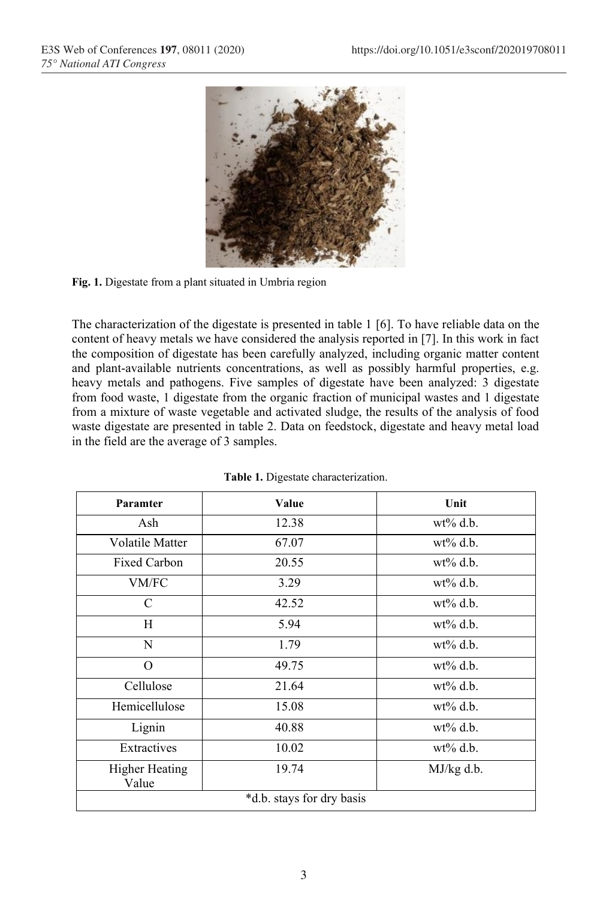

**Fig. 1.** Digestate from a plant situated in Umbria region

The characterization of the digestate is presented in table 1 [6]. To have reliable data on the content of heavy metals we have considered the analysis reported in [7]. In this work in fact the composition of digestate has been carefully analyzed, including organic matter content and plant-available nutrients concentrations, as well as possibly harmful properties, e.g. heavy metals and pathogens. Five samples of digestate have been analyzed: 3 digestate from food waste, 1 digestate from the organic fraction of municipal wastes and 1 digestate from a mixture of waste vegetable and activated sludge, the results of the analysis of food waste digestate are presented in table 2. Data on feedstock, digestate and heavy metal load in the field are the average of 3 samples.

| Paramter                       | Value                     | Unit         |
|--------------------------------|---------------------------|--------------|
| Ash                            | 12.38                     | $wt\%$ d.b.  |
| Volatile Matter                | 67.07                     | $wt\%$ d.b.  |
| <b>Fixed Carbon</b>            | 20.55                     | $wt\%$ d.b.  |
| VM/FC                          | 3.29                      | $wt\%$ d.b.  |
| C                              | 42.52                     | $wt\%$ d.b.  |
| Н                              | 5.94                      | $wt\%$ d.b.  |
| N                              | 1.79                      | $wt\%$ d.b.  |
| $\Omega$                       | 49.75                     | $wt\%$ d.b.  |
| Cellulose                      | 21.64                     | $wt\%$ d.b.  |
| Hemicellulose                  | 15.08                     | $wt\%$ d.b.  |
| Lignin                         | 40.88                     | $wt\%$ d.b.  |
| Extractives                    | 10.02                     | $wt\%$ d.b.  |
| <b>Higher Heating</b><br>Value | 19.74                     | $MJ/kg$ d.b. |
|                                | *d.b. stays for dry basis |              |

|  |  | Table 1. Digestate characterization. |
|--|--|--------------------------------------|
|--|--|--------------------------------------|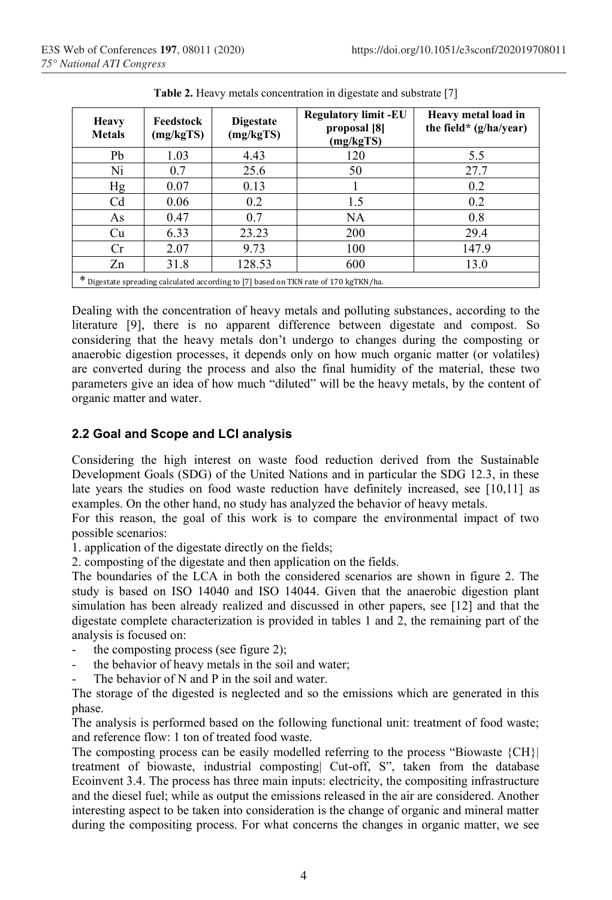| <b>Heavy</b><br><b>Metals</b>                                                         | Feedstock<br>(mg/kgTS) | <b>Digestate</b><br>(mg/kgTS) | <b>Regulatory limit -EU</b><br>proposal [8]<br>(mg/kgTS) | Heavy metal load in<br>the field* $(g/ha/year)$ |  |  |  |
|---------------------------------------------------------------------------------------|------------------------|-------------------------------|----------------------------------------------------------|-------------------------------------------------|--|--|--|
| Pb                                                                                    | 1.03                   | 4.43                          | 120                                                      | 5.5                                             |  |  |  |
| Ni                                                                                    | 0.7                    | 25.6                          | 50                                                       | 27.7                                            |  |  |  |
| Hg                                                                                    | 0.07                   | 0.13                          |                                                          | 0.2                                             |  |  |  |
| Cd                                                                                    | 0.06                   | 0.2                           | 1.5                                                      | 0.2                                             |  |  |  |
| As                                                                                    | 0.47                   | 0.7                           | NA.                                                      | 0.8                                             |  |  |  |
| Cu                                                                                    | 6.33                   | 23.23                         | 200                                                      | 29.4                                            |  |  |  |
| Cr                                                                                    | 2.07                   | 9.73                          | 100                                                      | 147.9                                           |  |  |  |
| Zn                                                                                    | 31.8                   | 128.53                        | 600                                                      | 13.0                                            |  |  |  |
| $*$ Digestate spreading calculated according to [7] based on TKN rate of 170 kgTKN/ha |                        |                               |                                                          |                                                 |  |  |  |

| Table 2. Heavy metals concentration in digestate and substrate [7] |  |  |
|--------------------------------------------------------------------|--|--|
|                                                                    |  |  |

\* Digestate spreading calculated according to [7] based on TKN rate of 170 kgTKN/ha.

Dealing with the concentration of heavy metals and polluting substances, according to the literature [9], there is no apparent difference between digestate and compost. So considering that the heavy metals don't undergo to changes during the composting or anaerobic digestion processes, it depends only on how much organic matter (or volatiles) are converted during the process and also the final humidity of the material, these two parameters give an idea of how much "diluted" will be the heavy metals, by the content of organic matter and water.

#### **2.2 Goal and Scope and LCI analysis**

Considering the high interest on waste food reduction derived from the Sustainable Development Goals (SDG) of the United Nations and in particular the SDG 12.3, in these late years the studies on food waste reduction have definitely increased, see [10,11] as examples. On the other hand, no study has analyzed the behavior of heavy metals.

For this reason, the goal of this work is to compare the environmental impact of two possible scenarios:

1. application of the digestate directly on the fields;

2. composting of the digestate and then application on the fields.

The boundaries of the LCA in both the considered scenarios are shown in figure 2. The study is based on ISO 14040 and ISO 14044. Given that the anaerobic digestion plant simulation has been already realized and discussed in other papers, see [12] and that the digestate complete characterization is provided in tables 1 and 2, the remaining part of the analysis is focused on:

- the composting process (see figure 2);
- the behavior of heavy metals in the soil and water;
- The behavior of  $N$  and  $P$  in the soil and water.

The storage of the digested is neglected and so the emissions which are generated in this phase.

The analysis is performed based on the following functional unit: treatment of food waste; and reference flow: 1 ton of treated food waste.

The composting process can be easily modelled referring to the process "Biowaste {CH}| treatment of biowaste, industrial composting| Cut-off, S", taken from the database Ecoinvent 3.4. The process has three main inputs: electricity, the compositing infrastructure and the diesel fuel; while as output the emissions released in the air are considered. Another interesting aspect to be taken into consideration is the change of organic and mineral matter during the compositing process. For what concerns the changes in organic matter, we see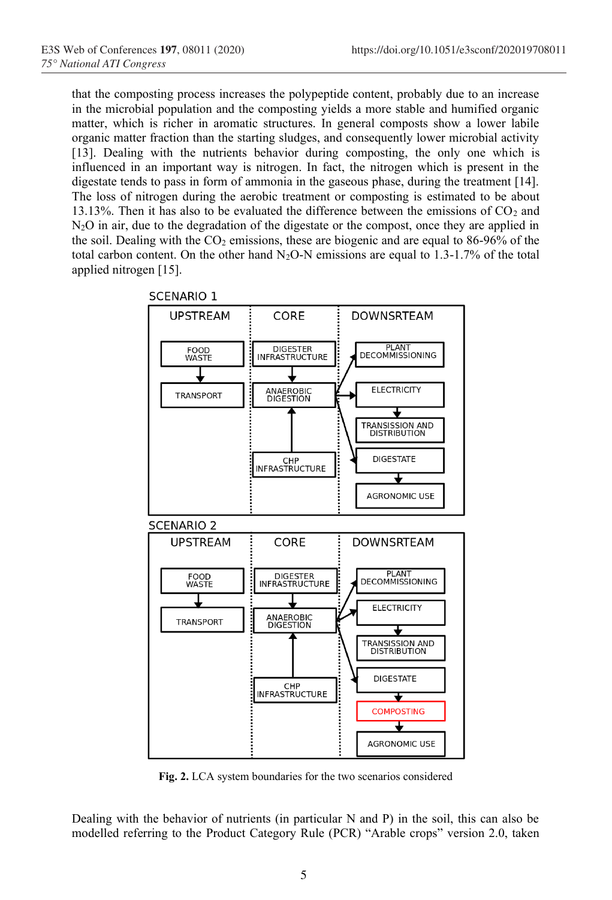that the composting process increases the polypeptide content, probably due to an increase in the microbial population and the composting yields a more stable and humified organic matter, which is richer in aromatic structures. In general composts show a lower labile organic matter fraction than the starting sludges, and consequently lower microbial activity [13]. Dealing with the nutrients behavior during composting, the only one which is influenced in an important way is nitrogen. In fact, the nitrogen which is present in the digestate tends to pass in form of ammonia in the gaseous phase, during the treatment [14]. The loss of nitrogen during the aerobic treatment or composting is estimated to be about 13.13%. Then it has also to be evaluated the difference between the emissions of  $CO<sub>2</sub>$  and N2O in air, due to the degradation of the digestate or the compost, once they are applied in the soil. Dealing with the  $CO<sub>2</sub>$  emissions, these are biogenic and are equal to 86-96% of the total carbon content. On the other hand  $N_2O-N$  emissions are equal to 1.3-1.7% of the total applied nitrogen [15].



**SCENARIO 1** 

**Fig. 2.** LCA system boundaries for the two scenarios considered

Dealing with the behavior of nutrients (in particular  $N$  and  $P$ ) in the soil, this can also be modelled referring to the Product Category Rule (PCR) "Arable crops" version 2.0, taken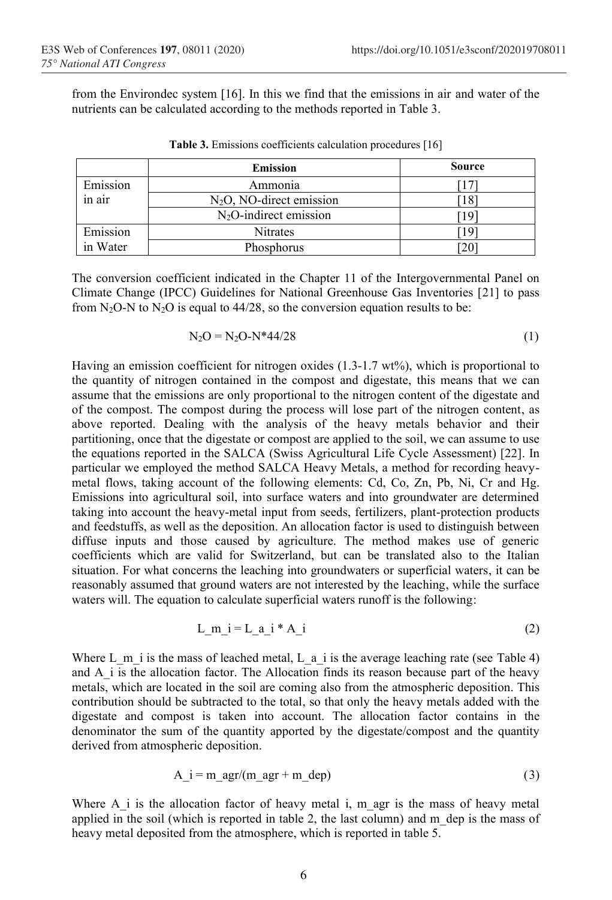from the Environdec system [16]. In this we find that the emissions in air and water of the nutrients can be calculated according to the methods reported in Table 3.

|          | <b>Emission</b>             | <b>Source</b> |
|----------|-----------------------------|---------------|
| Emission | Ammonia                     |               |
| in air   | $N_2O$ , NO-direct emission | 18            |
|          | $N_2O$ -indirect emission   | [19]          |
| Emission | <b>Nitrates</b>             | -19           |
| in Water | Phosphorus                  | 20            |

The conversion coefficient indicated in the Chapter 11 of the Intergovernmental Panel on Climate Change (IPCC) Guidelines for National Greenhouse Gas Inventories [21] to pass from  $N_2O-N$  to  $N_2O$  is equal to 44/28, so the conversion equation results to be:

$$
N_2O = N_2O - N^*44/28
$$
 (1)

Having an emission coefficient for nitrogen oxides  $(1.3-1.7 \text{ wt\%})$ , which is proportional to the quantity of nitrogen contained in the compost and digestate, this means that we can assume that the emissions are only proportional to the nitrogen content of the digestate and of the compost. The compost during the process will lose part of the nitrogen content, as above reported. Dealing with the analysis of the heavy metals behavior and their partitioning, once that the digestate or compost are applied to the soil, we can assume to use the equations reported in the SALCA (Swiss Agricultural Life Cycle Assessment) [22]. In particular we employed the method SALCA Heavy Metals, a method for recording heavymetal flows, taking account of the following elements: Cd, Co, Zn, Pb, Ni, Cr and Hg. Emissions into agricultural soil, into surface waters and into groundwater are determined taking into account the heavy-metal input from seeds, fertilizers, plant-protection products and feedstuffs, as well as the deposition. An allocation factor is used to distinguish between diffuse inputs and those caused by agriculture. The method makes use of generic coefficients which are valid for Switzerland, but can be translated also to the Italian situation. For what concerns the leaching into groundwaters or superficial waters, it can be reasonably assumed that ground waters are not interested by the leaching, while the surface waters will. The equation to calculate superficial waters runoff is the following:

$$
L_m_i = L_a_i * A_i
$$
 (2)

Where L m i is the mass of leached metal, L a i is the average leaching rate (see Table 4) and A i is the allocation factor. The Allocation finds its reason because part of the heavy metals, which are located in the soil are coming also from the atmospheric deposition. This contribution should be subtracted to the total, so that only the heavy metals added with the digestate and compost is taken into account. The allocation factor contains in the denominator the sum of the quantity apported by the digestate/compost and the quantity derived from atmospheric deposition.

$$
A_i = m_a g r/(m_a g r + m_d e p)
$$
 (3)

Where A i is the allocation factor of heavy metal i, m agr is the mass of heavy metal applied in the soil (which is reported in table 2, the last column) and  $m$  dep is the mass of heavy metal deposited from the atmosphere, which is reported in table 5.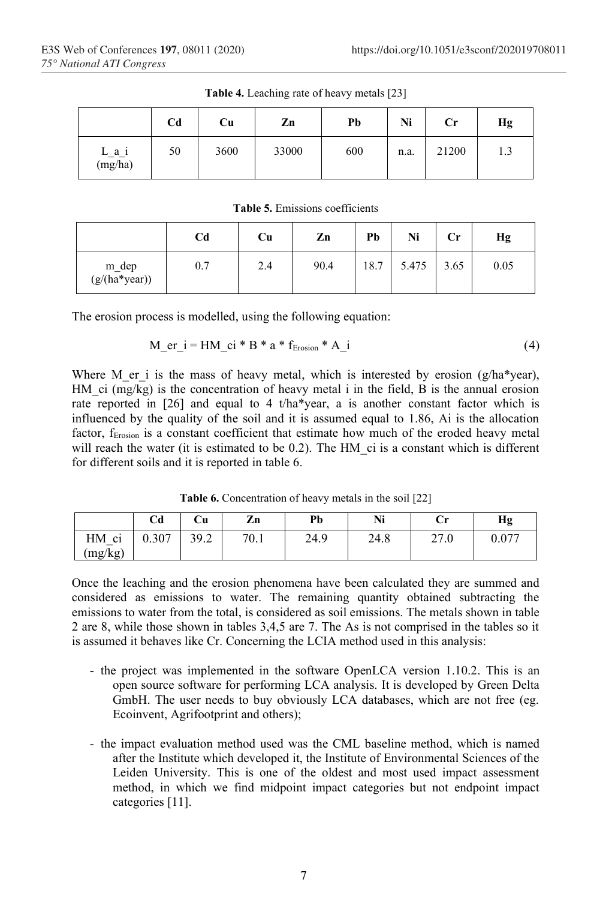|                  | C <sub>d</sub> | Cu   | Zn    | Pb  | Ni   | $\mathbf{C}$ r | Hg  |
|------------------|----------------|------|-------|-----|------|----------------|-----|
| L_a_i<br>(mg/ha) | 50             | 3600 | 33000 | 600 | n.a. | 21200          | 1.3 |

**Table 4.** Leaching rate of heavy metals [23]

**Table 5.** Emissions coefficients

|                                      | Cd  | Cu  | Zn   | Pb   | Ni    | Сr   | Hg   |
|--------------------------------------|-----|-----|------|------|-------|------|------|
| m_dep<br>$(g/(\overline{ha}^*)ear))$ | 0.7 | 2.4 | 90.4 | 18.7 | 5.475 | 3.65 | 0.05 |

The erosion process is modelled, using the following equation:

$$
M_{er_i} = HM_{ci} * B * a * f_{Erosion} * A_i
$$
 (4)

Where M er i is the mass of heavy metal, which is interested by erosion ( $g/ha*year$ ), HM ci  $(mg/kg)$  is the concentration of heavy metal i in the field, B is the annual erosion rate reported in [26] and equal to 4 t/ha\*year, a is another constant factor which is influenced by the quality of the soil and it is assumed equal to 1.86, Ai is the allocation factor, f<sub>Erosion</sub> is a constant coefficient that estimate how much of the eroded heavy metal will reach the water (it is estimated to be 0.2). The HM ci is a constant which is different for different soils and it is reported in table 6.

**Table 6.** Concentration of heavy metals in the soil [22]

|                                                             | Cd    | Cu              | $\overline{ }$<br>Zn | Pb   | Ni   | ۰.<br>u | Hg             |
|-------------------------------------------------------------|-------|-----------------|----------------------|------|------|---------|----------------|
| $\overline{\phantom{a}}$<br>HМ<br>C <sub>1</sub><br>(mg/kg) | 0.307 | 39 $2$<br>ے ۔ ر | 70.1                 | 24.9 | 24.8 | 27.0    | 0.077<br>V.V / |

Once the leaching and the erosion phenomena have been calculated they are summed and considered as emissions to water. The remaining quantity obtained subtracting the emissions to water from the total, is considered as soil emissions. The metals shown in table 2 are 8, while those shown in tables 3,4,5 are 7. The As is not comprised in the tables so it is assumed it behaves like Cr. Concerning the LCIA method used in this analysis:

- the project was implemented in the software OpenLCA version 1.10.2. This is an open source software for performing LCA analysis. It is developed by Green Delta GmbH. The user needs to buy obviously LCA databases, which are not free (eg. Ecoinvent, Agrifootprint and others);
- the impact evaluation method used was the CML baseline method, which is named after the Institute which developed it, the Institute of Environmental Sciences of the Leiden University. This is one of the oldest and most used impact assessment method, in which we find midpoint impact categories but not endpoint impact categories [11].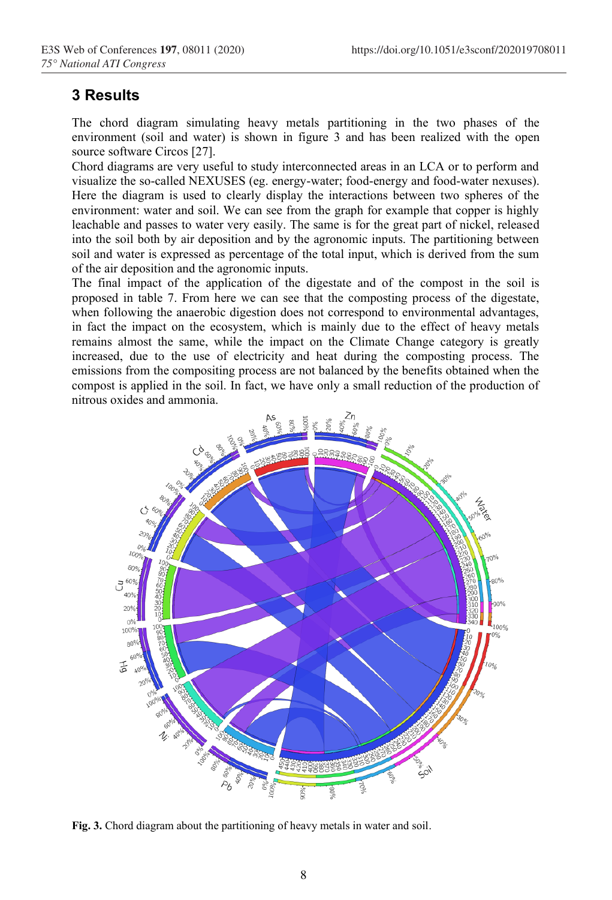## **3 Results**

The chord diagram simulating heavy metals partitioning in the two phases of the environment (soil and water) is shown in figure 3 and has been realized with the open source software Circos [27].

Chord diagrams are very useful to study interconnected areas in an LCA or to perform and visualize the so-called NEXUSES (eg. energy-water; food-energy and food-water nexuses). Here the diagram is used to clearly display the interactions between two spheres of the environment: water and soil. We can see from the graph for example that copper is highly leachable and passes to water very easily. The same is for the great part of nickel, released into the soil both by air deposition and by the agronomic inputs. The partitioning between soil and water is expressed as percentage of the total input, which is derived from the sum of the air deposition and the agronomic inputs.

The final impact of the application of the digestate and of the compost in the soil is proposed in table 7. From here we can see that the composting process of the digestate, when following the anaerobic digestion does not correspond to environmental advantages, in fact the impact on the ecosystem, which is mainly due to the effect of heavy metals remains almost the same, while the impact on the Climate Change category is greatly increased, due to the use of electricity and heat during the composting process. The emissions from the compositing process are not balanced by the benefits obtained when the compost is applied in the soil. In fact, we have only a small reduction of the production of nitrous oxides and ammonia.



**Fig. 3.** Chord diagram about the partitioning of heavy metals in water and soil.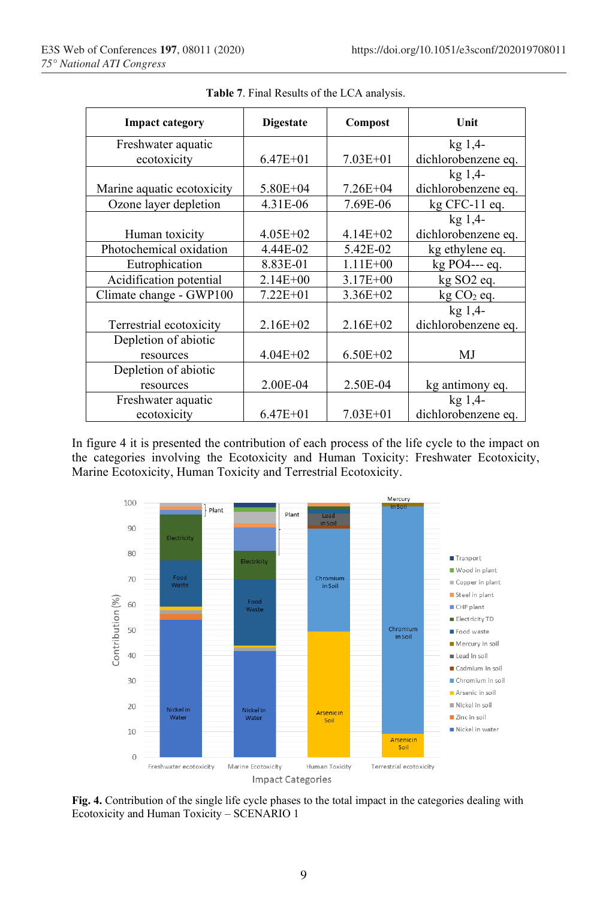| <b>Impact category</b>     | <b>Digestate</b> | Compost      | Unit                |
|----------------------------|------------------|--------------|---------------------|
| Freshwater aquatic         |                  |              | kg <sub>1,4</sub>   |
| ecotoxicity                | $6.47E + 01$     | $7.03E + 01$ | dichlorobenzene eq. |
|                            |                  |              | kg <sub>1,4</sub>   |
| Marine aquatic ecotoxicity | $5.80E + 04$     | $7.26E + 04$ | dichlorobenzene eq. |
| Ozone layer depletion      | 4.31E-06         | 7.69E-06     | $kg$ CFC-11 eq.     |
|                            |                  |              | $kg$ 1,4-           |
| Human toxicity             | $4.05E + 02$     | $4.14E + 02$ | dichlorobenzene eq. |
| Photochemical oxidation    | 4.44E-02         | 5.42E-02     | kg ethylene eq.     |
| Eutrophication             | 8.83E-01         | $1.11E + 00$ | kg PO4--- eq.       |
| Acidification potential    | $2.14E + 00$     | $3.17E + 00$ | kg SO2 eq.          |
| Climate change - GWP100    | $7.22E + 01$     | $3.36E + 02$ | $kg CO2$ eq.        |
|                            |                  |              | $kg$ 1,4-           |
| Terrestrial ecotoxicity    | $2.16E+02$       | $2.16E+02$   | dichlorobenzene eq. |
| Depletion of abiotic       |                  |              |                     |
| resources                  | $4.04E + 02$     | $6.50E + 02$ | MJ                  |
| Depletion of abiotic       |                  |              |                     |
| resources                  | 2.00E-04         | 2.50E-04     | kg antimony eq.     |
| Freshwater aquatic         |                  |              | $kg$ 1,4-           |
| ecotoxicity                | $6.47E + 01$     | $7.03E + 01$ | dichlorobenzene eq. |

**Table 7**. Final Results of the LCA analysis.

In figure 4 it is presented the contribution of each process of the life cycle to the impact on the categories involving the Ecotoxicity and Human Toxicity: Freshwater Ecotoxicity, Marine Ecotoxicity, Human Toxicity and Terrestrial Ecotoxicity.



**Fig. 4.** Contribution of the single life cycle phases to the total impact in the categories dealing with Ecotoxicity and Human Toxicity – SCENARIO 1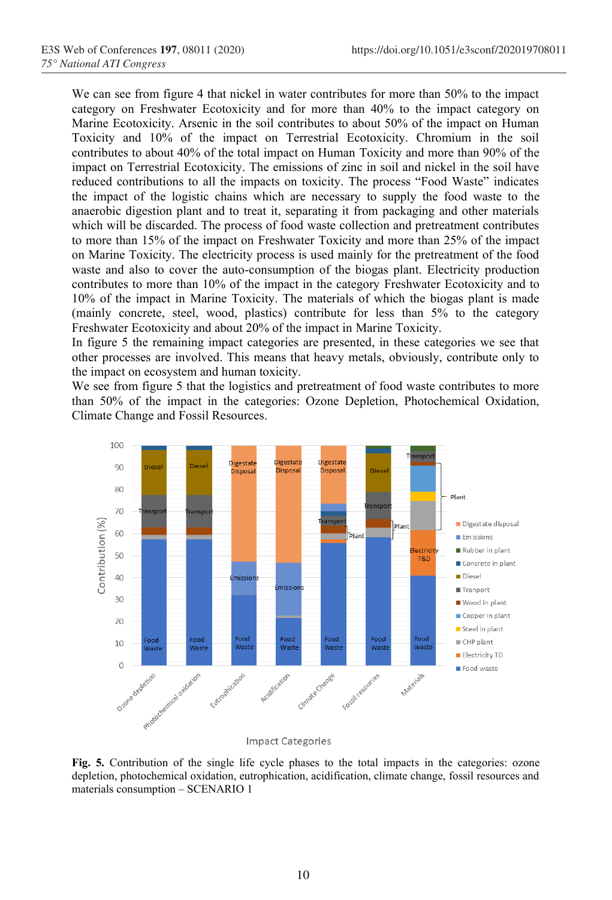We can see from figure 4 that nickel in water contributes for more than 50% to the impact category on Freshwater Ecotoxicity and for more than 40% to the impact category on Marine Ecotoxicity. Arsenic in the soil contributes to about 50% of the impact on Human Toxicity and 10% of the impact on Terrestrial Ecotoxicity. Chromium in the soil contributes to about 40% of the total impact on Human Toxicity and more than 90% of the impact on Terrestrial Ecotoxicity. The emissions of zinc in soil and nickel in the soil have reduced contributions to all the impacts on toxicity. The process "Food Waste" indicates the impact of the logistic chains which are necessary to supply the food waste to the anaerobic digestion plant and to treat it, separating it from packaging and other materials which will be discarded. The process of food waste collection and pretreatment contributes to more than 15% of the impact on Freshwater Toxicity and more than 25% of the impact on Marine Toxicity. The electricity process is used mainly for the pretreatment of the food waste and also to cover the auto-consumption of the biogas plant. Electricity production contributes to more than 10% of the impact in the category Freshwater Ecotoxicity and to 10% of the impact in Marine Toxicity. The materials of which the biogas plant is made (mainly concrete, steel, wood, plastics) contribute for less than 5% to the category Freshwater Ecotoxicity and about 20% of the impact in Marine Toxicity.

In figure 5 the remaining impact categories are presented, in these categories we see that other processes are involved. This means that heavy metals, obviously, contribute only to the impact on ecosystem and human toxicity.

We see from figure 5 that the logistics and pretreatment of food waste contributes to more than 50% of the impact in the categories: Ozone Depletion, Photochemical Oxidation, Climate Change and Fossil Resources.



**Fig. 5.** Contribution of the single life cycle phases to the total impacts in the categories: ozone depletion, photochemical oxidation, eutrophication, acidification, climate change, fossil resources and materials consumption – SCENARIO 1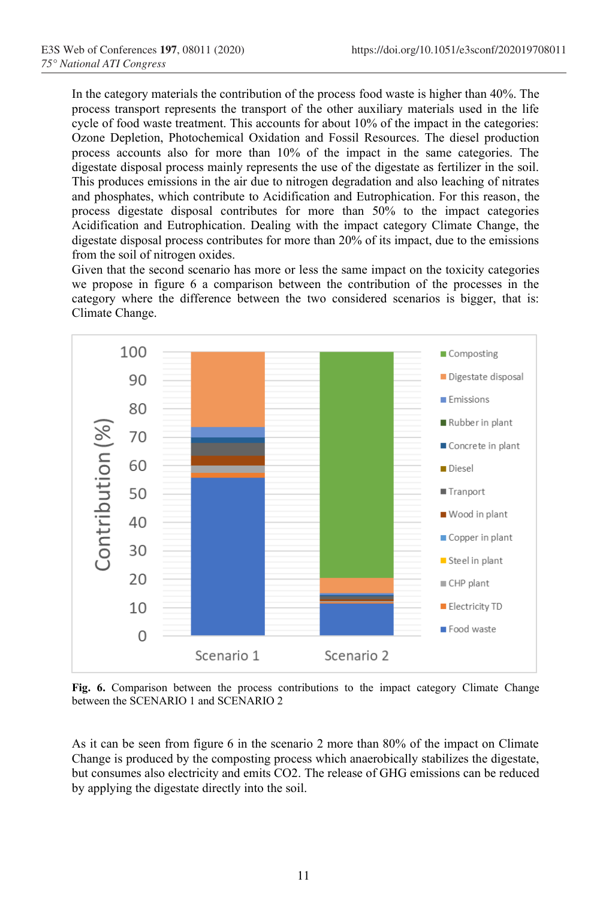In the category materials the contribution of the process food waste is higher than 40%. The process transport represents the transport of the other auxiliary materials used in the life cycle of food waste treatment. This accounts for about 10% of the impact in the categories: Ozone Depletion, Photochemical Oxidation and Fossil Resources. The diesel production process accounts also for more than 10% of the impact in the same categories. The digestate disposal process mainly represents the use of the digestate as fertilizer in the soil. This produces emissions in the air due to nitrogen degradation and also leaching of nitrates and phosphates, which contribute to Acidification and Eutrophication. For this reason, the process digestate disposal contributes for more than 50% to the impact categories Acidification and Eutrophication. Dealing with the impact category Climate Change, the digestate disposal process contributes for more than 20% of its impact, due to the emissions from the soil of nitrogen oxides.

Given that the second scenario has more or less the same impact on the toxicity categories we propose in figure 6 a comparison between the contribution of the processes in the category where the difference between the two considered scenarios is bigger, that is: Climate Change.



**Fig. 6.** Comparison between the process contributions to the impact category Climate Change between the SCENARIO 1 and SCENARIO 2

As it can be seen from figure 6 in the scenario 2 more than 80% of the impact on Climate Change is produced by the composting process which anaerobically stabilizes the digestate, but consumes also electricity and emits CO2. The release of GHG emissions can be reduced by applying the digestate directly into the soil.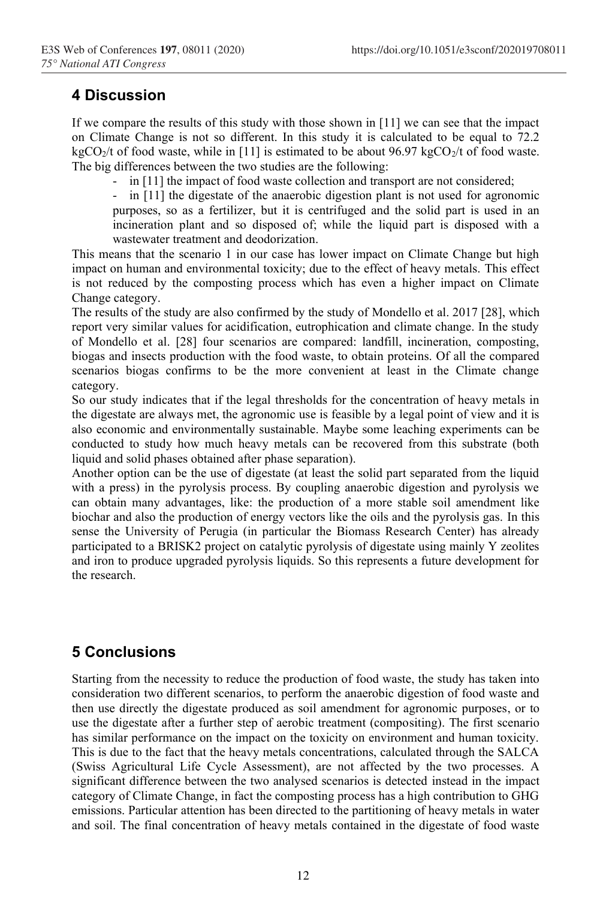# **4 Discussion**

If we compare the results of this study with those shown in [11] we can see that the impact on Climate Change is not so different. In this study it is calculated to be equal to 72.2  $kgCO<sub>2</sub>/t$  of food waste, while in [11] is estimated to be about 96.97 kgCO<sub>2</sub>/t of food waste. The big differences between the two studies are the following:

- in [11] the impact of food waste collection and transport are not considered;

- in [11] the digestate of the anaerobic digestion plant is not used for agronomic purposes, so as a fertilizer, but it is centrifuged and the solid part is used in an incineration plant and so disposed of; while the liquid part is disposed with a wastewater treatment and deodorization.

This means that the scenario 1 in our case has lower impact on Climate Change but high impact on human and environmental toxicity; due to the effect of heavy metals. This effect is not reduced by the composting process which has even a higher impact on Climate Change category.

The results of the study are also confirmed by the study of Mondello et al. 2017 [28], which report very similar values for acidification, eutrophication and climate change. In the study of Mondello et al. [28] four scenarios are compared: landfill, incineration, composting, biogas and insects production with the food waste, to obtain proteins. Of all the compared scenarios biogas confirms to be the more convenient at least in the Climate change category.

So our study indicates that if the legal thresholds for the concentration of heavy metals in the digestate are always met, the agronomic use is feasible by a legal point of view and it is also economic and environmentally sustainable. Maybe some leaching experiments can be conducted to study how much heavy metals can be recovered from this substrate (both liquid and solid phases obtained after phase separation).

Another option can be the use of digestate (at least the solid part separated from the liquid with a press) in the pyrolysis process. By coupling anaerobic digestion and pyrolysis we can obtain many advantages, like: the production of a more stable soil amendment like biochar and also the production of energy vectors like the oils and the pyrolysis gas. In this sense the University of Perugia (in particular the Biomass Research Center) has already participated to a BRISK2 project on catalytic pyrolysis of digestate using mainly Y zeolites and iron to produce upgraded pyrolysis liquids. So this represents a future development for the research.

# **5 Conclusions**

Starting from the necessity to reduce the production of food waste, the study has taken into consideration two different scenarios, to perform the anaerobic digestion of food waste and then use directly the digestate produced as soil amendment for agronomic purposes, or to use the digestate after a further step of aerobic treatment (compositing). The first scenario has similar performance on the impact on the toxicity on environment and human toxicity. This is due to the fact that the heavy metals concentrations, calculated through the SALCA (Swiss Agricultural Life Cycle Assessment), are not affected by the two processes. A significant difference between the two analysed scenarios is detected instead in the impact category of Climate Change, in fact the composting process has a high contribution to GHG emissions. Particular attention has been directed to the partitioning of heavy metals in water and soil. The final concentration of heavy metals contained in the digestate of food waste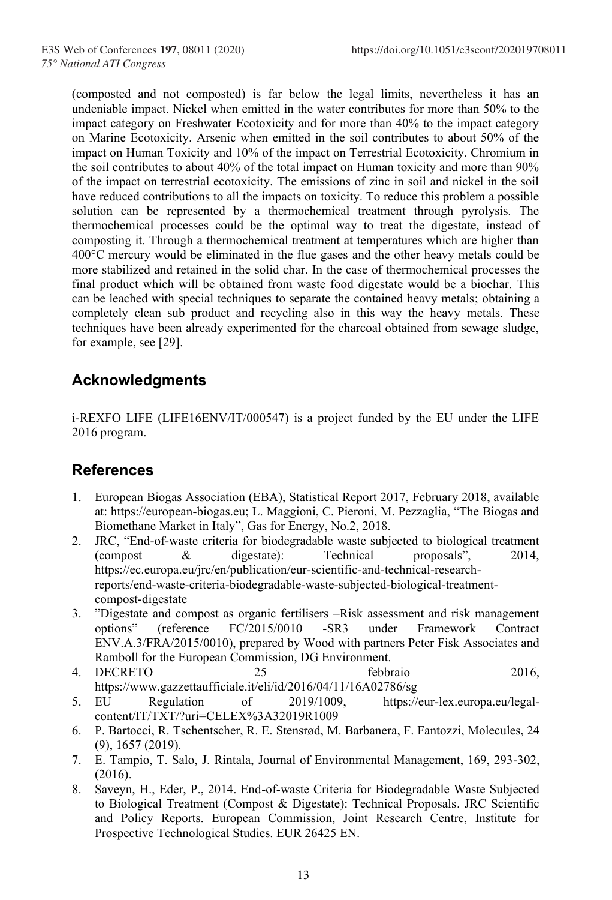(composted and not composted) is far below the legal limits, nevertheless it has an undeniable impact. Nickel when emitted in the water contributes for more than 50% to the impact category on Freshwater Ecotoxicity and for more than 40% to the impact category on Marine Ecotoxicity. Arsenic when emitted in the soil contributes to about 50% of the impact on Human Toxicity and 10% of the impact on Terrestrial Ecotoxicity. Chromium in the soil contributes to about 40% of the total impact on Human toxicity and more than 90% of the impact on terrestrial ecotoxicity. The emissions of zinc in soil and nickel in the soil have reduced contributions to all the impacts on toxicity. To reduce this problem a possible solution can be represented by a thermochemical treatment through pyrolysis. The thermochemical processes could be the optimal way to treat the digestate, instead of composting it. Through a thermochemical treatment at temperatures which are higher than 400°C mercury would be eliminated in the flue gases and the other heavy metals could be more stabilized and retained in the solid char. In the case of thermochemical processes the final product which will be obtained from waste food digestate would be a biochar. This can be leached with special techniques to separate the contained heavy metals; obtaining a completely clean sub product and recycling also in this way the heavy metals. These techniques have been already experimented for the charcoal obtained from sewage sludge, for example, see [29].

# **Acknowledgments**

i-REXFO LIFE (LIFE16ENV/IT/000547) is a project funded by the EU under the LIFE 2016 program.

## **References**

- 1. European Biogas Association (EBA), Statistical Report 2017, February 2018, available at: https://european-biogas.eu; L. Maggioni, C. Pieroni, M. Pezzaglia, "The Biogas and Biomethane Market in Italy", Gas for Energy, No.2, 2018.
- 2. JRC, "End-of-waste criteria for biodegradable waste subjected to biological treatment (compost & digestate): Technical proposals", 2014, https://ec.europa.eu/jrc/en/publication/eur-scientific-and-technical-researchreports/end-waste-criteria-biodegradable-waste-subjected-biological-treatmentcompost-digestate
- 3. "Digestate and compost as organic fertilisers –Risk assessment and risk management options" (reference FC/2015/0010 -SR3 under Framework Contract ENV.A.3/FRA/2015/0010), prepared by Wood with partners Peter Fisk Associates and Ramboll for the European Commission, DG Environment.<br>DECRETO 25 febbraio
- 4. DECRETO 25 febbraio 2016, <https://www.gazzettaufficiale.it/eli/id/2016/04/11/16A02786/sg>
- 5. EU Regulation of 2019/1009, [https://eur-lex.europa.eu/legal](https://eur-lex.europa.eu/legal-content/IT/TXT/?uri=CELEX%3A32019R1009)[content/IT/TXT/?uri=CELEX%3A32019R1009](https://eur-lex.europa.eu/legal-content/IT/TXT/?uri=CELEX%3A32019R1009)
- 6. P. Bartocci, R. Tschentscher, R. E. Stensrød, M. Barbanera, F. Fantozzi, Molecules, 24 (9), 1657 (2019).
- 7. E. Tampio, T. Salo, J. Rintala, Journal of Environmental Management, 169, 293-302, (2016).
- 8. Saveyn, H., Eder, P., 2014. End-of-waste Criteria for Biodegradable Waste Subjected to Biological Treatment (Compost & Digestate): Technical Proposals. JRC Scientific and Policy Reports. European Commission, Joint Research Centre, Institute for Prospective Technological Studies. EUR 26425 EN.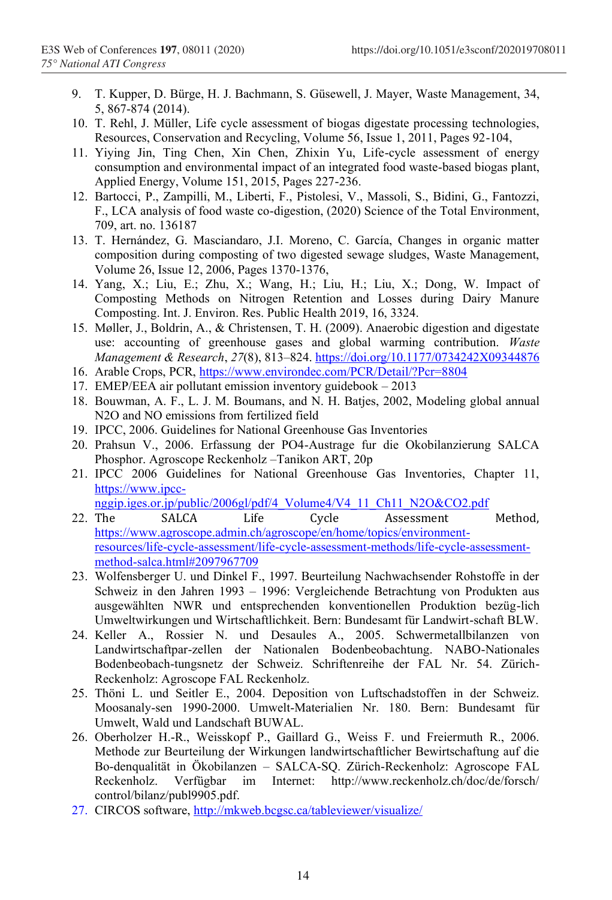- 9. T. Kupper, D. Bürge, H. J. Bachmann, S. Güsewell, J. Mayer, Waste Management, 34, 5, 867-874 (2014).
- 10. T. Rehl, J. Müller, Life cycle assessment of biogas digestate processing technologies, Resources, Conservation and Recycling, Volume 56, Issue 1, 2011, Pages 92-104,
- 11. Yiying Jin, Ting Chen, Xin Chen, Zhixin Yu, Life-cycle assessment of energy consumption and environmental impact of an integrated food waste-based biogas plant, Applied Energy, Volume 151, 2015, Pages 227-236.
- 12. Bartocci, P., Zampilli, M., Liberti, F., Pistolesi, V., Massoli, S., Bidini, G., Fantozzi, F., LCA analysis of food waste co-digestion, (2020) Science of the Total Environment, 709, art. no. 136187
- 13. T. Hernández, G. Masciandaro, J.I. Moreno, C. García, Changes in organic matter composition during composting of two digested sewage sludges, Waste Management, Volume 26, Issue 12, 2006, Pages 1370-1376,
- 14. Yang, X.; Liu, E.; Zhu, X.; Wang, H.; Liu, H.; Liu, X.; Dong, W. Impact of Composting Methods on Nitrogen Retention and Losses during Dairy Manure Composting. Int. J. Environ. Res. Public Health 2019, 16, 3324.
- 15. Møller, J., Boldrin, A., & Christensen, T. H. (2009). Anaerobic digestion and digestate use: accounting of greenhouse gases and global warming contribution. *Waste Management & Research*, *27*(8), 813–824[. https://doi.org/10.1177/0734242X09344876](https://doi.org/10.1177/0734242X09344876)
- 16. Arable Crops, PCR,<https://www.environdec.com/PCR/Detail/?Pcr=8804>
- 17. EMEP/EEA air pollutant emission inventory guidebook 2013
- 18. Bouwman, A. F., L. J. M. Boumans, and N. H. Batjes, 2002, Modeling global annual N2O and NO emissions from fertilized field
- 19. IPCC, 2006. Guidelines for National Greenhouse Gas Inventories
- 20. Prahsun V., 2006. Erfassung der PO4-Austrage fur die Okobilanzierung SALCA Phosphor. Agroscope Reckenholz –Tanikon ART, 20p
- 21. IPCC 2006 Guidelines for National Greenhouse Gas Inventories, Chapter 11, [https://www.ipcc-](https://www.ipcc-nggip.iges.or.jp/public/2006gl/pdf/4_Volume4/V4_11_Ch11_N2O&CO2.pdf)

[nggip.iges.or.jp/public/2006gl/pdf/4\\_Volume4/V4\\_11\\_Ch11\\_N2O&CO2.pdf](https://www.ipcc-nggip.iges.or.jp/public/2006gl/pdf/4_Volume4/V4_11_Ch11_N2O&CO2.pdf)<br>22. The SALCA Life Cycle Assessment

- Assessment Method, [https://www.agroscope.admin.ch/agroscope/en/home/topics/environment](https://www.agroscope.admin.ch/agroscope/en/home/topics/environment-resources/life-cycle-assessment/life-cycle-assessment-methods/life-cycle-assessment-method-salca.html#2097967709)[resources/life-cycle-assessment/life-cycle-assessment-methods/life-cycle-assessment](https://www.agroscope.admin.ch/agroscope/en/home/topics/environment-resources/life-cycle-assessment/life-cycle-assessment-methods/life-cycle-assessment-method-salca.html#2097967709)[method-salca.html#2097967709](https://www.agroscope.admin.ch/agroscope/en/home/topics/environment-resources/life-cycle-assessment/life-cycle-assessment-methods/life-cycle-assessment-method-salca.html#2097967709)
- 23. Wolfensberger U. und Dinkel F., 1997. Beurteilung Nachwachsender Rohstoffe in der Schweiz in den Jahren 1993 – 1996: Vergleichende Betrachtung von Produkten aus ausgewählten NWR und entsprechenden konventionellen Produktion bezüg-lich Umweltwirkungen und Wirtschaftlichkeit. Bern: Bundesamt für Landwirt-schaft BLW.
- 24. Keller A., Rossier N. und Desaules A., 2005. Schwermetallbilanzen von Landwirtschaftpar-zellen der Nationalen Bodenbeobachtung. NABO-Nationales Bodenbeobach-tungsnetz der Schweiz. Schriftenreihe der FAL Nr. 54. Zürich-Reckenholz: Agroscope FAL Reckenholz.
- 25. Thöni L. und Seitler E., 2004. Deposition von Luftschadstoffen in der Schweiz. Moosanaly-sen 1990-2000. Umwelt-Materialien Nr. 180. Bern: Bundesamt für Umwelt, Wald und Landschaft BUWAL.
- 26. Oberholzer H.-R., Weisskopf P., Gaillard G., Weiss F. und Freiermuth R., 2006. Methode zur Beurteilung der Wirkungen landwirtschaftlicher Bewirtschaftung auf die Bo-denqualität in Ökobilanzen – SALCA-SQ. Zürich-Reckenholz: Agroscope FAL Reckenholz. Verfügbar im Internet: http://www.reckenholz.ch/doc/de/forsch/ control/bilanz/publ9905.pdf.
- 27. CIRCOS software[, http://mkweb.bcgsc.ca/tableviewer/visualize/](http://mkweb.bcgsc.ca/tableviewer/visualize/)